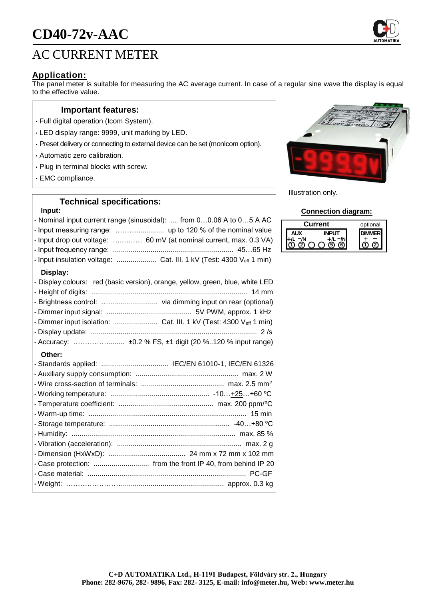# **CD40-72v-AAC**



# **Application:**

The panel meter is suitable for measuring the AC average current. In case of a regular sine wave the display is equal to the effective value.

### **Important features:**

- Full digital operation (Icom System).
- LED display range: 9999, unit marking by LED.
- Preset delivery or connecting to external device can be set (monIcom option).
- Automatic zero calibration.
- Plug in terminal blocks with screw.
- EMC compliance.

## **Technical specifications:**

#### **Input:**

| · Nominal input current range (sinusoidal):  from 00.06 A to 05 A AC<br>· Input measuring range:  up to 120 % of the nominal value<br>· Input drop out voltage:  60 mV (at nominal current, max. 0.3 VA)<br>· Input insulation voltage:  Cat. III. 1 kV (Test: 4300 Veff 1 min)            |
|--------------------------------------------------------------------------------------------------------------------------------------------------------------------------------------------------------------------------------------------------------------------------------------------|
| Display:<br>· Display colours: red (basic version), orange, yellow, green, blue, white LED<br>· Brightness control:  via dimming input on rear (optional)<br>· Dimmer input isolation:  Cat. III. 1 kV (Test: 4300 Veff 1 min)<br>· Accuracy:  ±0.2 % FS, ±1 digit (20 %120 % input range) |
| Other:<br>· Standards applied:  IEC/EN 61010-1, IEC/EN 61326<br>· Case protection:  from the front IP 40, from behind IP 20                                                                                                                                                                |
|                                                                                                                                                                                                                                                                                            |



Illustration only.

#### **Connection diagram:**

| urrent | optional |
|--------|----------|
|        |          |